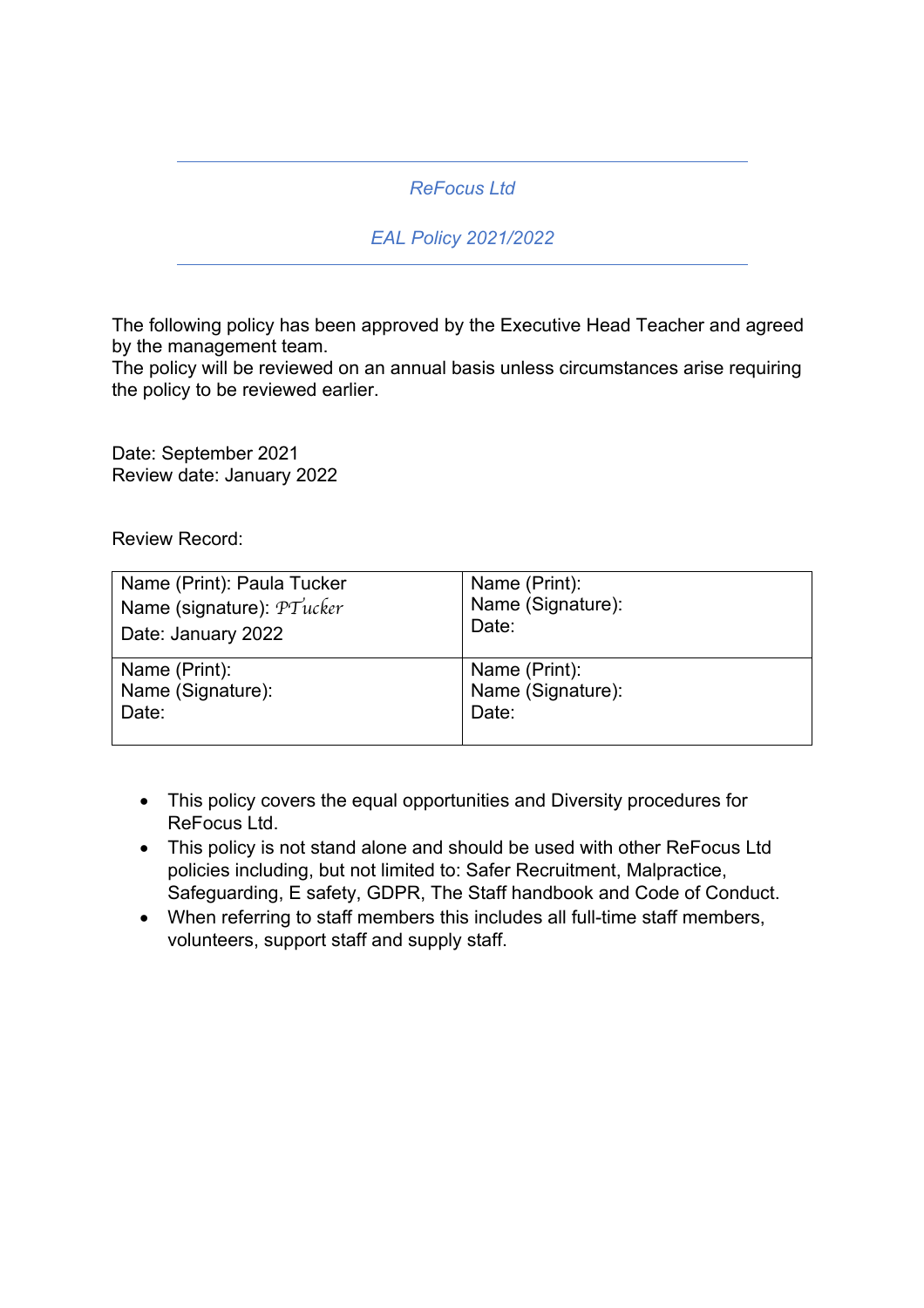## *ReFocus Ltd*

## *EAL Policy 2021/2022*

The following policy has been approved by the Executive Head Teacher and agreed by the management team.

The policy will be reviewed on an annual basis unless circumstances arise requiring the policy to be reviewed earlier.

Date: September 2021 Review date: January 2022

Review Record:

| Name (Print): Paula Tucker | Name (Print):     |
|----------------------------|-------------------|
| Name (signature): PTucker  | Name (Signature): |
| Date: January 2022         | Date:             |
| Name (Print):              | Name (Print):     |
| Name (Signature):          | Name (Signature): |
| Date:                      | Date:             |

- This policy covers the equal opportunities and Diversity procedures for ReFocus Ltd.
- This policy is not stand alone and should be used with other ReFocus Ltd policies including, but not limited to: Safer Recruitment, Malpractice, Safeguarding, E safety, GDPR, The Staff handbook and Code of Conduct.
- When referring to staff members this includes all full-time staff members, volunteers, support staff and supply staff.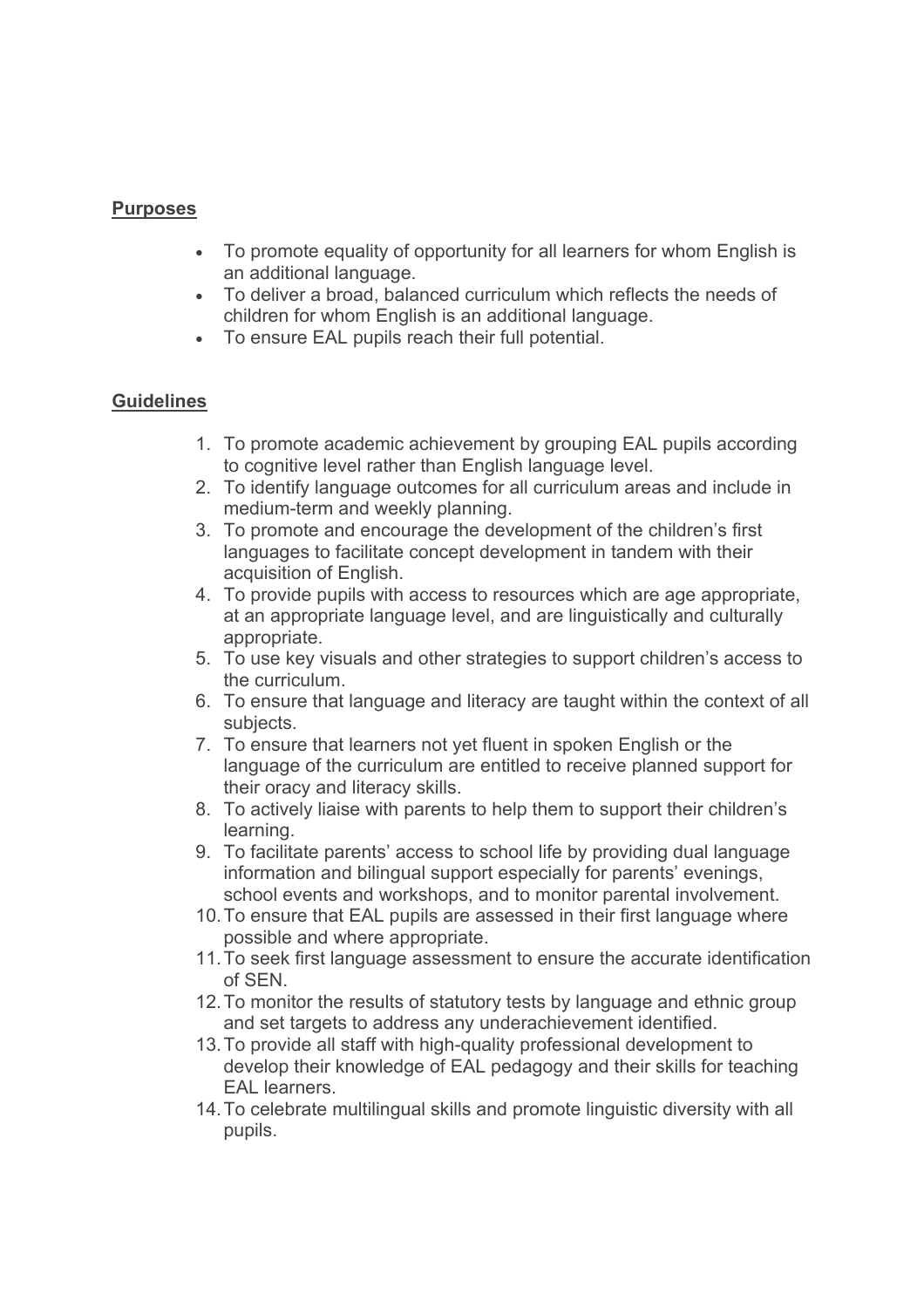### **Purposes**

- To promote equality of opportunity for all learners for whom English is an additional language.
- To deliver a broad, balanced curriculum which reflects the needs of children for whom English is an additional language.
- To ensure EAL pupils reach their full potential.

### **Guidelines**

- 1. To promote academic achievement by grouping EAL pupils according to cognitive level rather than English language level.
- 2. To identify language outcomes for all curriculum areas and include in medium-term and weekly planning.
- 3. To promote and encourage the development of the children's first languages to facilitate concept development in tandem with their acquisition of English.
- 4. To provide pupils with access to resources which are age appropriate, at an appropriate language level, and are linguistically and culturally appropriate.
- 5. To use key visuals and other strategies to support children's access to the curriculum.
- 6. To ensure that language and literacy are taught within the context of all subjects.
- 7. To ensure that learners not yet fluent in spoken English or the language of the curriculum are entitled to receive planned support for their oracy and literacy skills.
- 8. To actively liaise with parents to help them to support their children's learning.
- 9. To facilitate parents' access to school life by providing dual language information and bilingual support especially for parents' evenings, school events and workshops, and to monitor parental involvement.
- 10.To ensure that EAL pupils are assessed in their first language where possible and where appropriate.
- 11.To seek first language assessment to ensure the accurate identification of SEN.
- 12.To monitor the results of statutory tests by language and ethnic group and set targets to address any underachievement identified.
- 13.To provide all staff with high-quality professional development to develop their knowledge of EAL pedagogy and their skills for teaching EAL learners.
- 14.To celebrate multilingual skills and promote linguistic diversity with all pupils.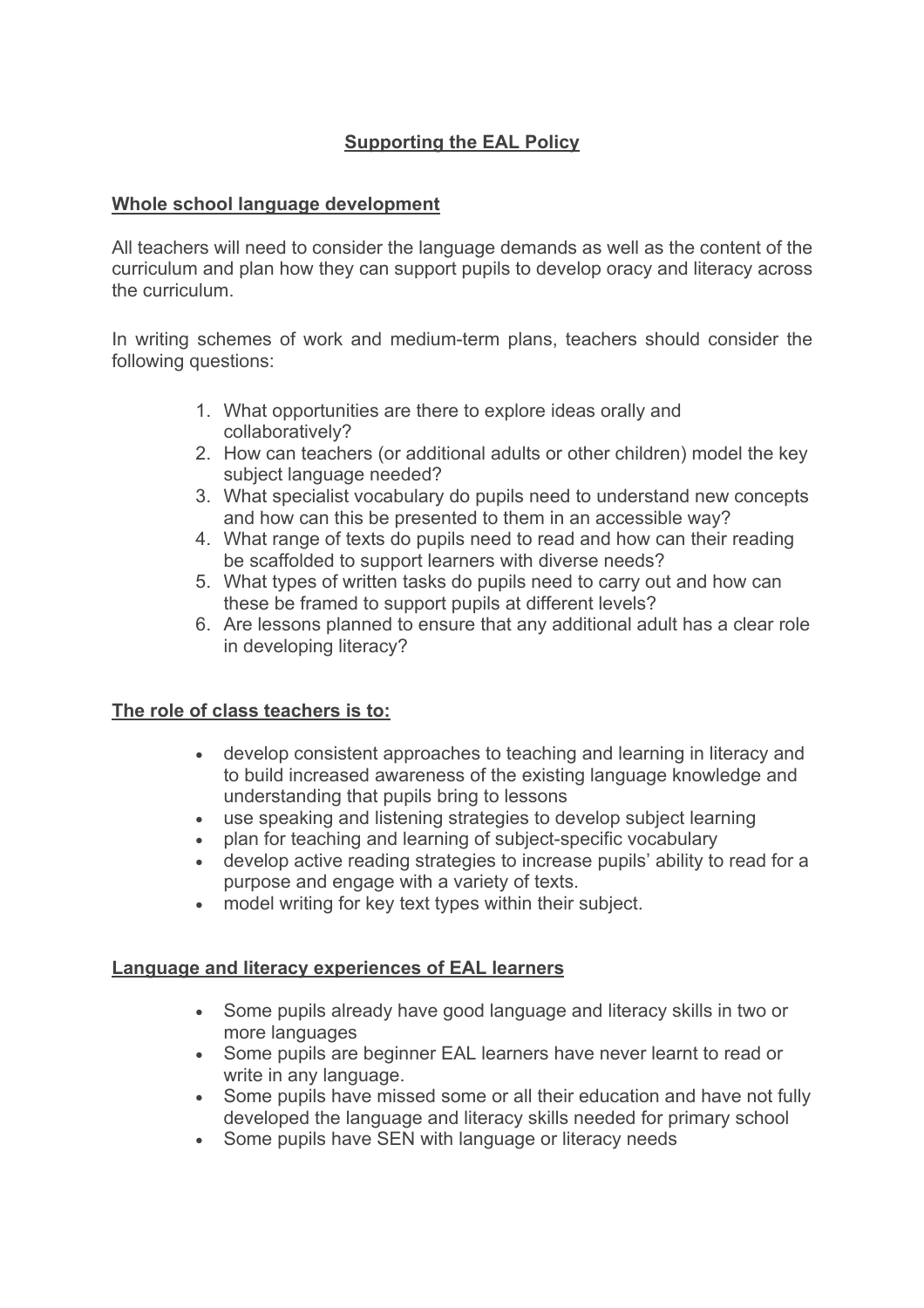# **Supporting the EAL Policy**

### **Whole school language development**

All teachers will need to consider the language demands as well as the content of the curriculum and plan how they can support pupils to develop oracy and literacy across the curriculum.

In writing schemes of work and medium-term plans, teachers should consider the following questions:

- 1. What opportunities are there to explore ideas orally and collaboratively?
- 2. How can teachers (or additional adults or other children) model the key subject language needed?
- 3. What specialist vocabulary do pupils need to understand new concepts and how can this be presented to them in an accessible way?
- 4. What range of texts do pupils need to read and how can their reading be scaffolded to support learners with diverse needs?
- 5. What types of written tasks do pupils need to carry out and how can these be framed to support pupils at different levels?
- 6. Are lessons planned to ensure that any additional adult has a clear role in developing literacy?

#### **The role of class teachers is to:**

- develop consistent approaches to teaching and learning in literacy and to build increased awareness of the existing language knowledge and understanding that pupils bring to lessons
- use speaking and listening strategies to develop subject learning
- plan for teaching and learning of subject-specific vocabulary
- develop active reading strategies to increase pupils' ability to read for a purpose and engage with a variety of texts.
- model writing for key text types within their subject.

#### **Language and literacy experiences of EAL learners**

- Some pupils already have good language and literacy skills in two or more languages
- Some pupils are beginner EAL learners have never learnt to read or write in any language.
- Some pupils have missed some or all their education and have not fully developed the language and literacy skills needed for primary school
- Some pupils have SEN with language or literacy needs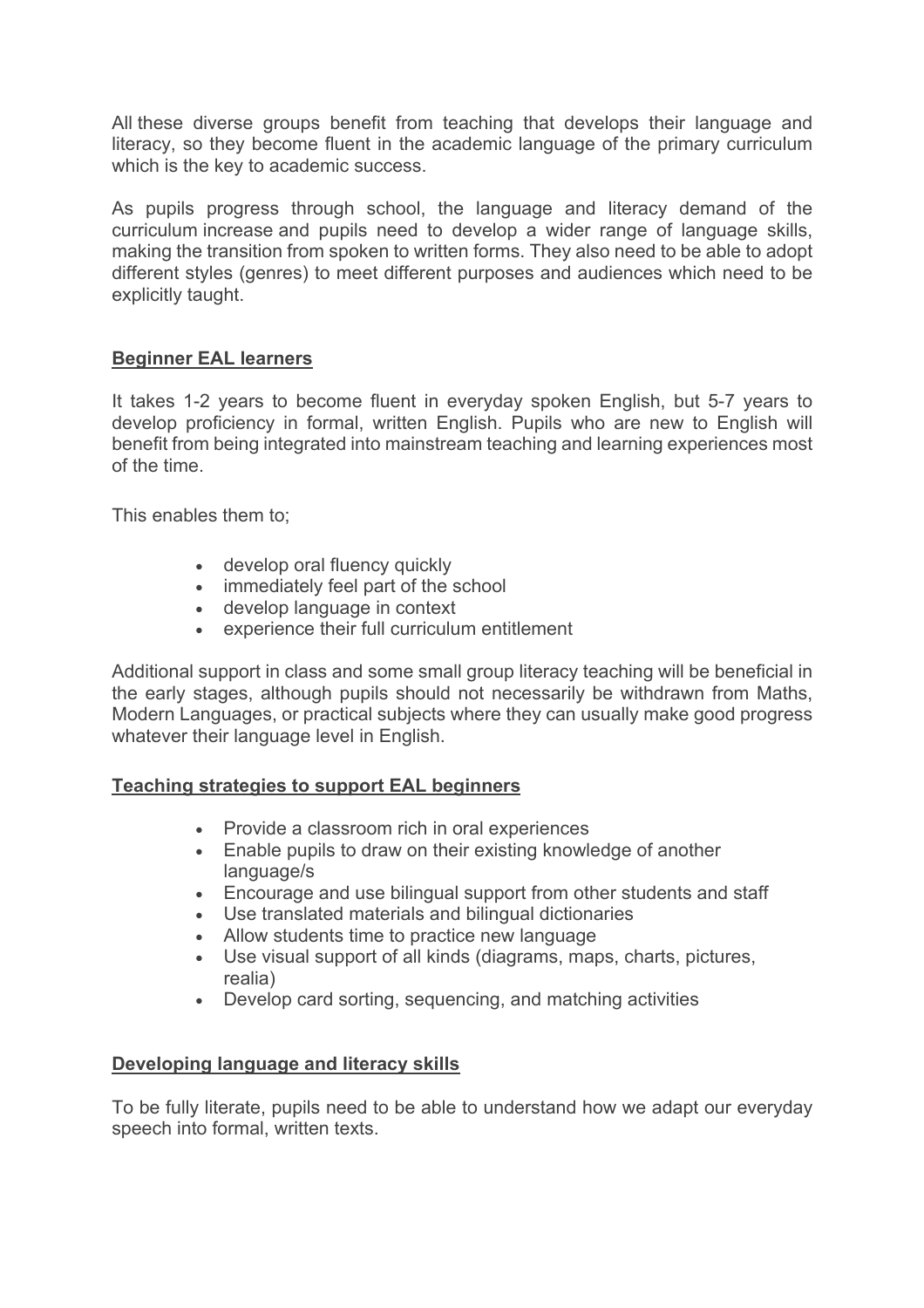All these diverse groups benefit from teaching that develops their language and literacy, so they become fluent in the academic language of the primary curriculum which is the key to academic success.

As pupils progress through school, the language and literacy demand of the curriculum increase and pupils need to develop a wider range of language skills, making the transition from spoken to written forms. They also need to be able to adopt different styles (genres) to meet different purposes and audiences which need to be explicitly taught.

### **Beginner EAL learners**

It takes 1-2 years to become fluent in everyday spoken English, but 5-7 years to develop proficiency in formal, written English. Pupils who are new to English will benefit from being integrated into mainstream teaching and learning experiences most of the time.

This enables them to;

- develop oral fluency quickly
- immediately feel part of the school
- develop language in context
- experience their full curriculum entitlement

Additional support in class and some small group literacy teaching will be beneficial in the early stages, although pupils should not necessarily be withdrawn from Maths, Modern Languages, or practical subjects where they can usually make good progress whatever their language level in English.

#### **Teaching strategies to support EAL beginners**

- Provide a classroom rich in oral experiences
- Enable pupils to draw on their existing knowledge of another language/s
- Encourage and use bilingual support from other students and staff
- Use translated materials and bilingual dictionaries
- Allow students time to practice new language
- Use visual support of all kinds (diagrams, maps, charts, pictures, realia)
- Develop card sorting, sequencing, and matching activities

### **Developing language and literacy skills**

To be fully literate, pupils need to be able to understand how we adapt our everyday speech into formal, written texts.